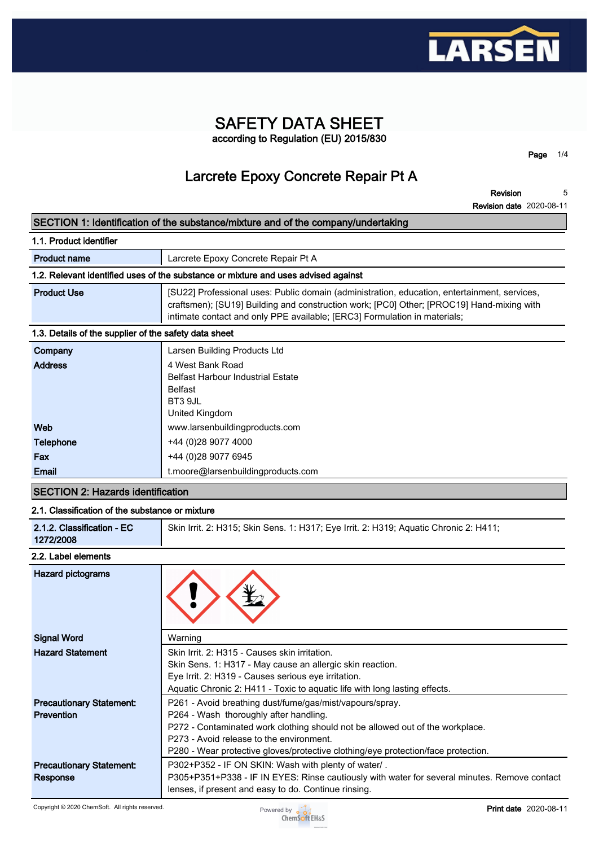

### **SAFETY DATA SHEET according to Regulation (EU) 2015/830**

**Page 1/4**

## **Larcrete Epoxy Concrete Repair Pt A**

**Revision Revision date 2020-08-11 5**

#### **SECTION 1: Identification of the substance/mixture and of the company/undertaking**

| 1.1. Product identifier                                                            |                                                                                                                                                                                                                                                                        |  |  |  |
|------------------------------------------------------------------------------------|------------------------------------------------------------------------------------------------------------------------------------------------------------------------------------------------------------------------------------------------------------------------|--|--|--|
| <b>Product name</b>                                                                | Larcrete Epoxy Concrete Repair Pt A                                                                                                                                                                                                                                    |  |  |  |
| 1.2. Relevant identified uses of the substance or mixture and uses advised against |                                                                                                                                                                                                                                                                        |  |  |  |
| <b>Product Use</b>                                                                 | [SU22] Professional uses: Public domain (administration, education, entertainment, services,<br>craftsmen); [SU19] Building and construction work; [PC0] Other; [PROC19] Hand-mixing with<br>intimate contact and only PPE available; [ERC3] Formulation in materials; |  |  |  |
| 1.3. Details of the supplier of the safety data sheet                              |                                                                                                                                                                                                                                                                        |  |  |  |
| Company                                                                            | Larsen Building Products Ltd                                                                                                                                                                                                                                           |  |  |  |
| <b>Address</b>                                                                     | 4 West Bank Road<br><b>Belfast Harbour Industrial Estate</b><br><b>Belfast</b><br>BT3 9JL<br>United Kingdom                                                                                                                                                            |  |  |  |
| Web                                                                                | www.larsenbuildingproducts.com                                                                                                                                                                                                                                         |  |  |  |
| Telephone                                                                          | +44 (0) 28 9077 4000                                                                                                                                                                                                                                                   |  |  |  |
| Fax                                                                                | +44 (0)28 9077 6945                                                                                                                                                                                                                                                    |  |  |  |
| Email                                                                              | t.moore@larsenbuildingproducts.com                                                                                                                                                                                                                                     |  |  |  |

#### **SECTION 2: Hazards identification**

#### **2.1. Classification of the substance or mixture**

| 2.1.2. Classification - EC<br>Skin Irrit. 2: H315; Skin Sens. 1: H317; Eye Irrit. 2: H319; Aquatic Chronic 2: H411;<br>1272/2008 |
|----------------------------------------------------------------------------------------------------------------------------------|
|----------------------------------------------------------------------------------------------------------------------------------|

#### **2.2. Label elements**

| <b>Hazard pictograms</b>        |                                                                                              |
|---------------------------------|----------------------------------------------------------------------------------------------|
| <b>Signal Word</b>              | Warning                                                                                      |
| <b>Hazard Statement</b>         | Skin Irrit. 2: H315 - Causes skin irritation.                                                |
|                                 | Skin Sens. 1: H317 - May cause an allergic skin reaction.                                    |
|                                 | Eye Irrit. 2: H319 - Causes serious eye irritation.                                          |
|                                 | Aquatic Chronic 2: H411 - Toxic to aquatic life with long lasting effects.                   |
| <b>Precautionary Statement:</b> | P261 - Avoid breathing dust/fume/gas/mist/vapours/spray.                                     |
| <b>Prevention</b>               | P264 - Wash thoroughly after handling.                                                       |
|                                 | P272 - Contaminated work clothing should not be allowed out of the workplace.                |
|                                 | P273 - Avoid release to the environment.                                                     |
|                                 | P280 - Wear protective gloves/protective clothing/eye protection/face protection.            |
| <b>Precautionary Statement:</b> | P302+P352 - IF ON SKIN: Wash with plenty of water/.                                          |
| Response                        | P305+P351+P338 - IF IN EYES: Rinse cautiously with water for several minutes. Remove contact |
|                                 | lenses, if present and easy to do. Continue rinsing.                                         |

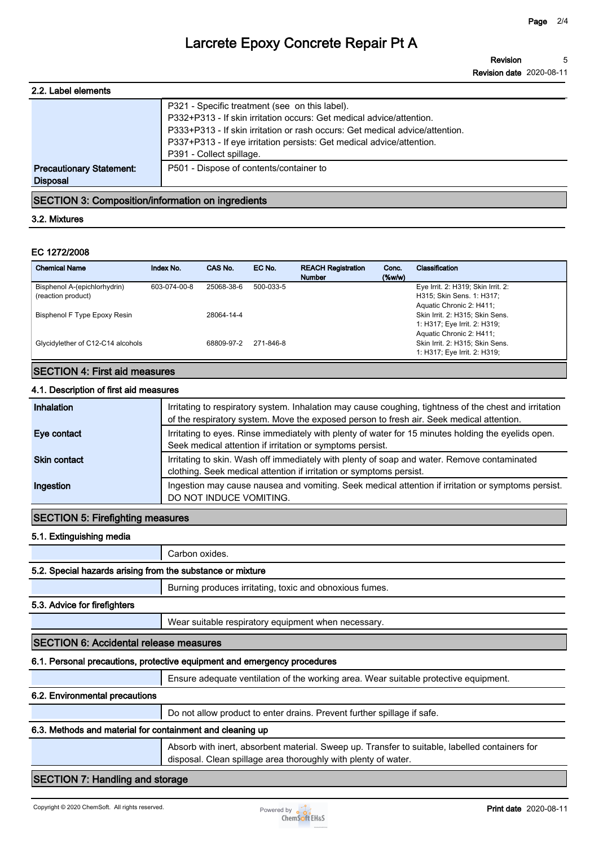| 2.2. Label elements             |                                                                                                                                                                                                                                                                                 |
|---------------------------------|---------------------------------------------------------------------------------------------------------------------------------------------------------------------------------------------------------------------------------------------------------------------------------|
|                                 | P321 - Specific treatment (see on this label).<br>P332+P313 - If skin irritation occurs: Get medical advice/attention.<br>P333+P313 - If skin irritation or rash occurs: Get medical advice/attention.<br>P337+P313 - If eye irritation persists: Get medical advice/attention. |
|                                 | P391 - Collect spillage.                                                                                                                                                                                                                                                        |
| <b>Precautionary Statement:</b> | P501 - Dispose of contents/container to                                                                                                                                                                                                                                         |
| <b>Disposal</b>                 |                                                                                                                                                                                                                                                                                 |
|                                 |                                                                                                                                                                                                                                                                                 |

#### **SECTION 3: Composition/information on ingredients**

#### **3.2. Mixtures**

#### **EC 1272/2008**

| <b>Chemical Name</b>              | Index No.    | CAS No.    | EC No.    | <b>REACH Registration</b><br><b>Number</b> | Conc.<br>$(\%w/w)$ | Classification                     |
|-----------------------------------|--------------|------------|-----------|--------------------------------------------|--------------------|------------------------------------|
| Bisphenol A-(epichlorhydrin)      | 603-074-00-8 | 25068-38-6 | 500-033-5 |                                            |                    | Eye Irrit. 2: H319; Skin Irrit. 2: |
| (reaction product)                |              |            |           |                                            |                    | H315; Skin Sens. 1: H317;          |
|                                   |              |            |           |                                            |                    | Aquatic Chronic 2: H411;           |
| Bisphenol F Type Epoxy Resin      |              | 28064-14-4 |           |                                            |                    | Skin Irrit. 2: H315; Skin Sens.    |
|                                   |              |            |           |                                            |                    | 1: H317; Eye Irrit. 2: H319;       |
|                                   |              |            |           |                                            |                    | Aquatic Chronic 2: H411;           |
| Glycidylether of C12-C14 alcohols |              | 68809-97-2 | 271-846-8 |                                            |                    | Skin Irrit. 2: H315; Skin Sens.    |
|                                   |              |            |           |                                            |                    | 1: H317; Eye Irrit. 2: H319;       |

#### **SECTION 4: First aid measures**

#### **4.1. Description of first aid measures**

| Inhalation          | Irritating to respiratory system. Inhalation may cause coughing, tightness of the chest and irritation<br>of the respiratory system. Move the exposed person to fresh air. Seek medical attention. |
|---------------------|----------------------------------------------------------------------------------------------------------------------------------------------------------------------------------------------------|
| Eye contact         | Irritating to eyes. Rinse immediately with plenty of water for 15 minutes holding the eyelids open.<br>Seek medical attention if irritation or symptoms persist.                                   |
| <b>Skin contact</b> | Irritating to skin. Wash off immediately with plenty of soap and water. Remove contaminated<br>clothing. Seek medical attention if irritation or symptoms persist.                                 |
| Ingestion           | Ingestion may cause nausea and vomiting. Seek medical attention if irritation or symptoms persist.<br>DO NOT INDUCE VOMITING.                                                                      |

#### **SECTION 5: Firefighting measures**

#### **5.1. Extinguishing media**

**Carbon oxides.**

#### **5.2. Special hazards arising from the substance or mixture**

**Burning produces irritating, toxic and obnoxious fumes.**

#### **5.3. Advice for firefighters**

**Wear suitable respiratory equipment when necessary.**

#### **SECTION 6: Accidental release measures**

#### **6.1. Personal precautions, protective equipment and emergency procedures**

**Ensure adequate ventilation of the working area. Wear suitable protective equipment.**

#### **6.2. Environmental precautions**

**Do not allow product to enter drains. Prevent further spillage if safe.**

#### **6.3. Methods and material for containment and cleaning up**

**Absorb with inert, absorbent material. Sweep up. Transfer to suitable, labelled containers for disposal. Clean spillage area thoroughly with plenty of water.**

#### **SECTION 7: Handling and storage**

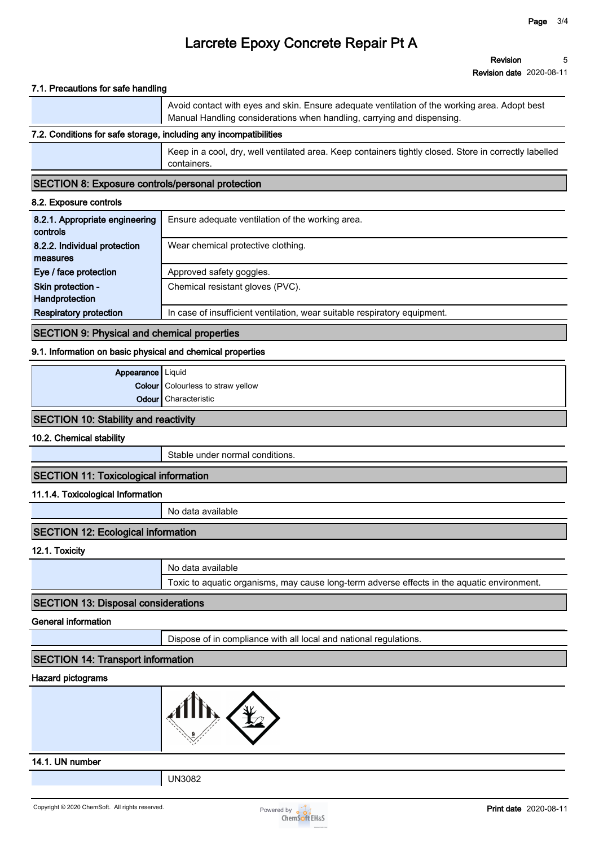#### **7.1. Precautions for safe handling**

|                                                                   | Avoid contact with eyes and skin. Ensure adequate ventilation of the working area. Adopt best<br>Manual Handling considerations when handling, carrying and dispensing. |  |
|-------------------------------------------------------------------|-------------------------------------------------------------------------------------------------------------------------------------------------------------------------|--|
| 7.2. Conditions for safe storage, including any incompatibilities |                                                                                                                                                                         |  |
|                                                                   |                                                                                                                                                                         |  |

**Keep in a cool, dry, well ventilated area. Keep containers tightly closed. Store in correctly labelled containers.**

#### **SECTION 8: Exposure controls/personal protection**

#### **8.2. Exposure controls**

| 8.2.1. Appropriate engineering<br>controls | Ensure adequate ventilation of the working area.                          |
|--------------------------------------------|---------------------------------------------------------------------------|
| 8.2.2. Individual protection               | Wear chemical protective clothing.                                        |
| measures                                   |                                                                           |
| Eye / face protection                      | Approved safety goggles.                                                  |
| Skin protection -                          | Chemical resistant gloves (PVC).                                          |
| Handprotection                             |                                                                           |
| <b>Respiratory protection</b>              | In case of insufficient ventilation, wear suitable respiratory equipment. |

#### **SECTION 9: Physical and chemical properties**

#### **9.1. Information on basic physical and chemical properties**

| Appearance   Liquid |                                          |
|---------------------|------------------------------------------|
|                     | <b>Colour</b> Colourless to straw yellow |
|                     | <b>Odour</b> Characteristic              |

#### **SECTION 10: Stability and reactivity**

**10.2. Chemical stability**

**Stable under normal conditions.**

#### **SECTION 11: Toxicological information**

#### **11.1.4. Toxicological Information**

**No data available**

#### **SECTION 12: Ecological information**

**12.1. Toxicity**

| No data available                                                                           |
|---------------------------------------------------------------------------------------------|
| Toxic to aquatic organisms, may cause long-term adverse effects in the aquatic environment. |

#### **SECTION 13: Disposal considerations**

#### **General information**

**Dispose of in compliance with all local and national regulations.**

#### **SECTION 14: Transport information**

#### **Hazard pictograms**



#### **14.1. UN number**

**UN3082**

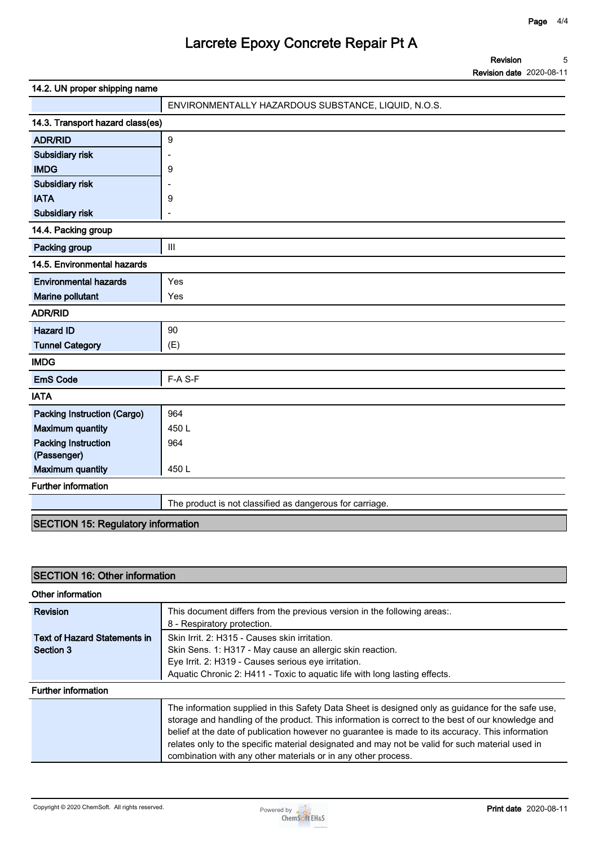**Revision Revision date 2020-08-11 5**

| 14.2. UN proper shipping name             |                                                     |
|-------------------------------------------|-----------------------------------------------------|
|                                           | ENVIRONMENTALLY HAZARDOUS SUBSTANCE, LIQUID, N.O.S. |
| 14.3. Transport hazard class(es)          |                                                     |
| <b>ADR/RID</b>                            | $\boldsymbol{9}$                                    |
| Subsidiary risk                           |                                                     |
| <b>IMDG</b>                               | 9                                                   |
| Subsidiary risk                           |                                                     |
| <b>IATA</b>                               | 9                                                   |
| Subsidiary risk                           |                                                     |
| 14.4. Packing group                       |                                                     |
| Packing group                             | $\mathbf{III}$                                      |
| 14.5. Environmental hazards               |                                                     |
| <b>Environmental hazards</b>              | Yes                                                 |
| Marine pollutant                          | Yes                                                 |
| <b>ADR/RID</b>                            |                                                     |
| <b>Hazard ID</b>                          | 90                                                  |
| <b>Tunnel Category</b>                    | (E)                                                 |
| <b>IMDG</b>                               |                                                     |
| <b>EmS Code</b>                           | F-A S-F                                             |
| <b>IATA</b>                               |                                                     |
| <b>Packing Instruction (Cargo)</b>        | 964                                                 |
| <b>Maximum quantity</b>                   | 450L                                                |
| <b>Packing Instruction</b><br>(Passenger) | 964                                                 |
| <b>Maximum quantity</b>                   | 450L                                                |

**Further information**

**The product is not classified as dangerous for carriage.**

#### **SECTION 15: Regulatory information**

### **SECTION 16: Other information**

| Other information                                                                                                                                       |                                                                                                                                                                                                                                                                                                                                                                                                                                                                                |
|---------------------------------------------------------------------------------------------------------------------------------------------------------|--------------------------------------------------------------------------------------------------------------------------------------------------------------------------------------------------------------------------------------------------------------------------------------------------------------------------------------------------------------------------------------------------------------------------------------------------------------------------------|
| <b>Revision</b>                                                                                                                                         | This document differs from the previous version in the following areas:.<br>8 - Respiratory protection.                                                                                                                                                                                                                                                                                                                                                                        |
| Skin Irrit. 2: H315 - Causes skin irritation.<br>Text of Hazard Statements in<br>Skin Sens. 1: H317 - May cause an allergic skin reaction.<br>Section 3 |                                                                                                                                                                                                                                                                                                                                                                                                                                                                                |
|                                                                                                                                                         | Eye Irrit. 2: H319 - Causes serious eye irritation.<br>Aquatic Chronic 2: H411 - Toxic to aquatic life with long lasting effects.                                                                                                                                                                                                                                                                                                                                              |
| <b>Further information</b>                                                                                                                              |                                                                                                                                                                                                                                                                                                                                                                                                                                                                                |
|                                                                                                                                                         | The information supplied in this Safety Data Sheet is designed only as guidance for the safe use,<br>storage and handling of the product. This information is correct to the best of our knowledge and<br>belief at the date of publication however no guarantee is made to its accuracy. This information<br>relates only to the specific material designated and may not be valid for such material used in<br>combination with any other materials or in any other process. |

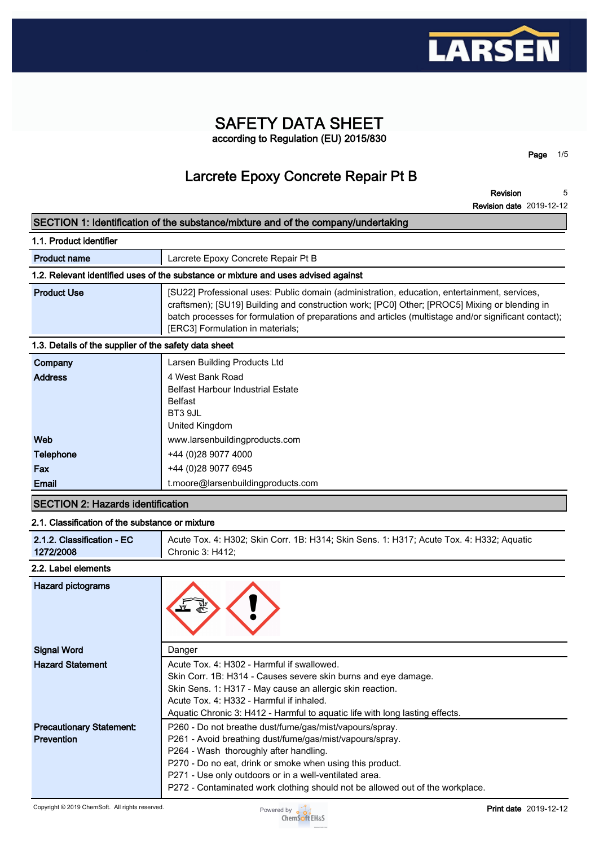

### **SAFETY DATA SHEET according to Regulation (EU) 2015/830**

**Page 1/5**

## **Larcrete Epoxy Concrete Repair Pt B**

**Revision Revision date 2019-12-12 5**

#### **SECTION 1: Identification of the substance/mixture and of the company/undertaking**

| 1.1. Product identifier                               |                                                                                                                                                                                                                                                                                                                                            |  |  |  |  |  |
|-------------------------------------------------------|--------------------------------------------------------------------------------------------------------------------------------------------------------------------------------------------------------------------------------------------------------------------------------------------------------------------------------------------|--|--|--|--|--|
| <b>Product name</b>                                   | Larcrete Epoxy Concrete Repair Pt B                                                                                                                                                                                                                                                                                                        |  |  |  |  |  |
|                                                       | 1.2. Relevant identified uses of the substance or mixture and uses advised against                                                                                                                                                                                                                                                         |  |  |  |  |  |
| <b>Product Use</b>                                    | [SU22] Professional uses: Public domain (administration, education, entertainment, services,<br>craftsmen); [SU19] Building and construction work; [PC0] Other; [PROC5] Mixing or blending in<br>batch processes for formulation of preparations and articles (multistage and/or significant contact);<br>[ERC3] Formulation in materials; |  |  |  |  |  |
| 1.3. Details of the supplier of the safety data sheet |                                                                                                                                                                                                                                                                                                                                            |  |  |  |  |  |
| Company                                               | Larsen Building Products Ltd                                                                                                                                                                                                                                                                                                               |  |  |  |  |  |
| <b>Address</b>                                        | 4 West Bank Road<br><b>Belfast Harbour Industrial Estate</b><br><b>Belfast</b><br>BT3 9JL<br>United Kingdom                                                                                                                                                                                                                                |  |  |  |  |  |
| Web                                                   | www.larsenbuildingproducts.com                                                                                                                                                                                                                                                                                                             |  |  |  |  |  |
| <b>Telephone</b>                                      | +44 (0) 28 9077 4000                                                                                                                                                                                                                                                                                                                       |  |  |  |  |  |
| Fax                                                   | +44 (0)28 9077 6945                                                                                                                                                                                                                                                                                                                        |  |  |  |  |  |
| Email                                                 | t.moore@larsenbuildingproducts.com                                                                                                                                                                                                                                                                                                         |  |  |  |  |  |

#### **SECTION 2: Hazards identification**

#### **2.1. Classification of the substance or mixture**

| 2.1.2. Classification - EC | Acute Tox. 4: H302; Skin Corr. 1B: H314; Skin Sens. 1: H317; Acute Tox. 4: H332; Aquatic |
|----------------------------|------------------------------------------------------------------------------------------|
| 1272/2008                  | Chronic 3: H412;                                                                         |

#### **2.2. Label elements**

| Hazard pictograms                                    |                                                                                                                                                                                                                                                                                                                                                                       |
|------------------------------------------------------|-----------------------------------------------------------------------------------------------------------------------------------------------------------------------------------------------------------------------------------------------------------------------------------------------------------------------------------------------------------------------|
| <b>Signal Word</b>                                   | Danger                                                                                                                                                                                                                                                                                                                                                                |
| <b>Hazard Statement</b>                              | Acute Tox, 4: H302 - Harmful if swallowed.<br>Skin Corr. 1B: H314 - Causes severe skin burns and eye damage.<br>Skin Sens. 1: H317 - May cause an allergic skin reaction.<br>Acute Tox, 4: H332 - Harmful if inhaled.<br>Aquatic Chronic 3: H412 - Harmful to aguatic life with long lasting effects.                                                                 |
| <b>Precautionary Statement:</b><br><b>Prevention</b> | P260 - Do not breathe dust/fume/gas/mist/vapours/spray.<br>P261 - Avoid breathing dust/fume/gas/mist/vapours/spray.<br>P264 - Wash thoroughly after handling.<br>P270 - Do no eat, drink or smoke when using this product.<br>P271 - Use only outdoors or in a well-ventilated area.<br>P272 - Contaminated work clothing should not be allowed out of the workplace. |

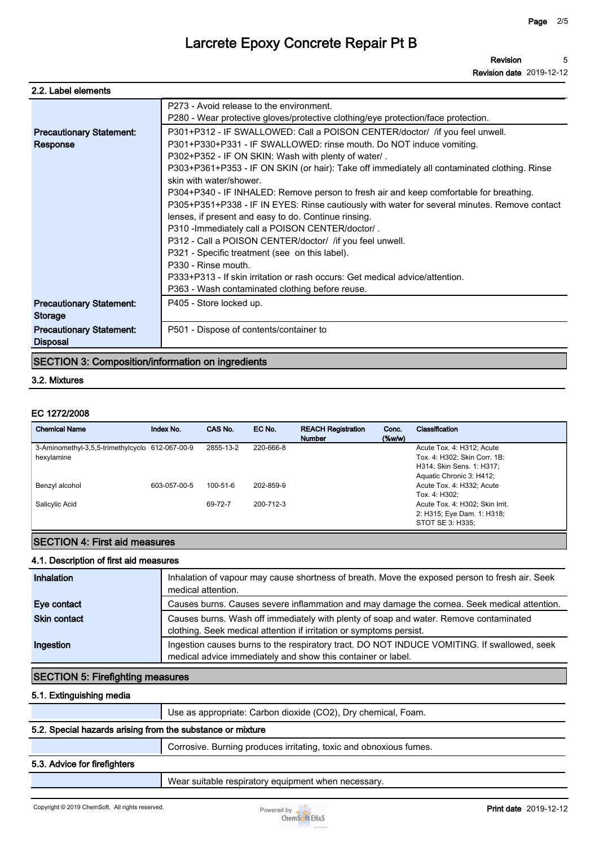| 2.2. Label elements             |                                                                                                                               |
|---------------------------------|-------------------------------------------------------------------------------------------------------------------------------|
|                                 | P273 - Avoid release to the environment.<br>P280 - Wear protective gloves/protective clothing/eye protection/face protection. |
| <b>Precautionary Statement:</b> | P301+P312 - IF SWALLOWED: Call a POISON CENTER/doctor/ / if you feel unwell.                                                  |
| Response                        | P301+P330+P331 - IF SWALLOWED: rinse mouth. Do NOT induce vomiting.                                                           |
|                                 | P302+P352 - IF ON SKIN: Wash with plenty of water/.                                                                           |
|                                 | P303+P361+P353 - IF ON SKIN (or hair): Take off immediately all contaminated clothing. Rinse                                  |
|                                 | skin with water/shower.                                                                                                       |
|                                 | P304+P340 - IF INHALED: Remove person to fresh air and keep comfortable for breathing.                                        |
|                                 | P305+P351+P338 - IF IN EYES: Rinse cautiously with water for several minutes. Remove contact                                  |
|                                 | lenses, if present and easy to do. Continue rinsing.                                                                          |
|                                 | P310 - Immediately call a POISON CENTER/doctor/.                                                                              |
|                                 | P312 - Call a POISON CENTER/doctor/ /if you feel unwell.                                                                      |
|                                 | P321 - Specific treatment (see on this label).                                                                                |
|                                 | P330 - Rinse mouth.                                                                                                           |
|                                 | P333+P313 - If skin irritation or rash occurs: Get medical advice/attention.                                                  |
|                                 | P363 - Wash contaminated clothing before reuse.                                                                               |
| <b>Precautionary Statement:</b> | P405 - Store locked up.                                                                                                       |
| <b>Storage</b>                  |                                                                                                                               |
| <b>Precautionary Statement:</b> | P501 - Dispose of contents/container to                                                                                       |
| <b>Disposal</b>                 |                                                                                                                               |

#### **SECTION 3: Composition/information on ingredients**

#### **3.2. Mixtures**

#### **EC 1272/2008**

| <b>Chemical Name</b>                            | Index No.    | CAS No.        | EC No.    | <b>REACH Registration</b><br><b>Number</b> | Conc.<br>$(\%w/w)$ | Classification                  |
|-------------------------------------------------|--------------|----------------|-----------|--------------------------------------------|--------------------|---------------------------------|
| 3-Aminomethyl-3,5,5-trimethylcyclo 612-067-00-9 |              | 2855-13-2      | 220-666-8 |                                            |                    | Acute Tox. 4: H312; Acute       |
| hexylamine                                      |              |                |           |                                            |                    | Tox. 4: H302; Skin Corr. 1B:    |
|                                                 |              |                |           |                                            |                    | H314; Skin Sens. 1: H317;       |
|                                                 |              |                |           |                                            |                    | Aquatic Chronic 3: H412;        |
| Benzyl alcohol                                  | 603-057-00-5 | $100 - 51 - 6$ | 202-859-9 |                                            |                    | Acute Tox. 4: H332; Acute       |
|                                                 |              |                |           |                                            |                    | Tox. 4: H302:                   |
| Salicylic Acid                                  |              | 69-72-7        | 200-712-3 |                                            |                    | Acute Tox. 4: H302; Skin Irrit. |
|                                                 |              |                |           |                                            |                    | 2: H315; Eye Dam. 1: H318;      |
|                                                 |              |                |           |                                            |                    | STOT SE 3: H335;                |

#### **SECTION 4: First aid measures**

#### **4.1. Description of first aid measures**

| Inhalation          | Inhalation of vapour may cause shortness of breath. Move the exposed person to fresh air. Seek<br>medical attention.                                         |
|---------------------|--------------------------------------------------------------------------------------------------------------------------------------------------------------|
| Eye contact         | Causes burns. Causes severe inflammation and may damage the cornea. Seek medical attention.                                                                  |
| <b>Skin contact</b> | Causes burns. Wash off immediately with plenty of soap and water. Remove contaminated<br>clothing. Seek medical attention if irritation or symptoms persist. |
| Ingestion           | Ingestion causes burns to the respiratory tract. DO NOT INDUCE VOMITING. If swallowed, seek<br>medical advice immediately and show this container or label.  |

#### **SECTION 5: Firefighting measures**

#### **5.1. Extinguishing media**

**Use as appropriate: Carbon dioxide (CO2), Dry chemical, Foam.**

#### **5.2. Special hazards arising from the substance or mixture**

**Corrosive. Burning produces irritating, toxic and obnoxious fumes.**

#### **5.3. Advice for firefighters**

**Wear suitable respiratory equipment when necessary.**

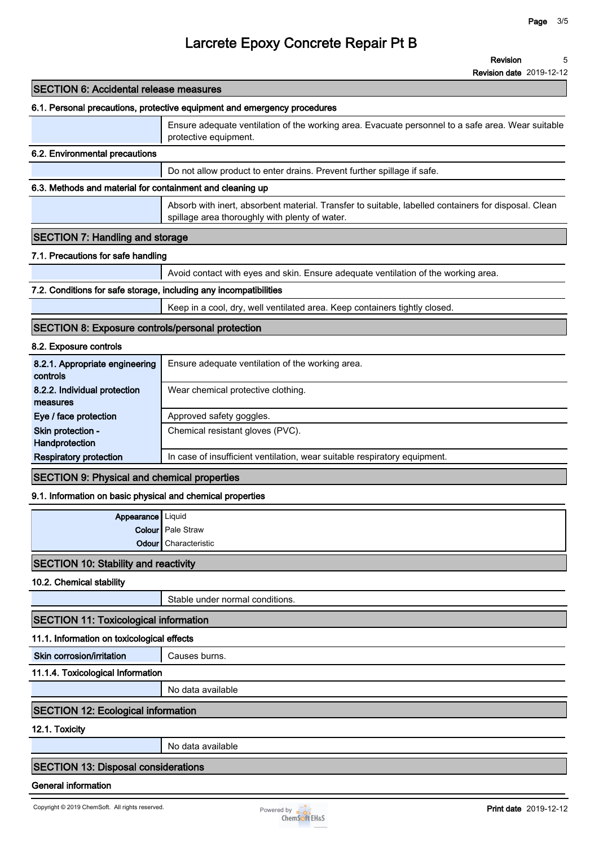**Revision 5**

**Revision date 2019-12-12**

| <b>SECTION 6: Accidental release measures</b>                     |                                                                                                                                                        |
|-------------------------------------------------------------------|--------------------------------------------------------------------------------------------------------------------------------------------------------|
|                                                                   | 6.1. Personal precautions, protective equipment and emergency procedures                                                                               |
|                                                                   | Ensure adequate ventilation of the working area. Evacuate personnel to a safe area. Wear suitable<br>protective equipment.                             |
| 6.2. Environmental precautions                                    |                                                                                                                                                        |
|                                                                   | Do not allow product to enter drains. Prevent further spillage if safe.                                                                                |
| 6.3. Methods and material for containment and cleaning up         |                                                                                                                                                        |
|                                                                   | Absorb with inert, absorbent material. Transfer to suitable, labelled containers for disposal. Clean<br>spillage area thoroughly with plenty of water. |
| <b>SECTION 7: Handling and storage</b>                            |                                                                                                                                                        |
| 7.1. Precautions for safe handling                                |                                                                                                                                                        |
|                                                                   | Avoid contact with eyes and skin. Ensure adequate ventilation of the working area.                                                                     |
| 7.2. Conditions for safe storage, including any incompatibilities |                                                                                                                                                        |
|                                                                   | Keep in a cool, dry, well ventilated area. Keep containers tightly closed.                                                                             |
| <b>SECTION 8: Exposure controls/personal protection</b>           |                                                                                                                                                        |
| 8.2. Exposure controls                                            |                                                                                                                                                        |
| 8.2.1. Appropriate engineering<br>controls                        | Ensure adequate ventilation of the working area.                                                                                                       |
| 8.2.2. Individual protection<br>measures                          | Wear chemical protective clothing.                                                                                                                     |
| Eye / face protection                                             | Approved safety goggles.                                                                                                                               |
| Skin protection -<br>Handprotection                               | Chemical resistant gloves (PVC).                                                                                                                       |
| <b>Respiratory protection</b>                                     | In case of insufficient ventilation, wear suitable respiratory equipment.                                                                              |
| <b>SECTION 9: Physical and chemical properties</b>                |                                                                                                                                                        |
| 9.1. Information on basic physical and chemical properties        |                                                                                                                                                        |
| Appearance   Liquid                                               |                                                                                                                                                        |
|                                                                   | <b>Colour</b> Pale Straw                                                                                                                               |
| <b>Odour</b>                                                      | Characteristic                                                                                                                                         |
| <b>SECTION 10: Stability and reactivity</b>                       |                                                                                                                                                        |
| 10.2. Chemical stability                                          |                                                                                                                                                        |
|                                                                   | Stable under normal conditions.                                                                                                                        |
| <b>SECTION 11: Toxicological information</b>                      |                                                                                                                                                        |
| 11.1. Information on toxicological effects                        |                                                                                                                                                        |
| Skin corrosion/irritation                                         | Causes burns.                                                                                                                                          |
| 11.1.4. Toxicological Information                                 |                                                                                                                                                        |
|                                                                   | No data available                                                                                                                                      |
| <b>SECTION 12: Ecological information</b>                         |                                                                                                                                                        |
| 12.1. Toxicity                                                    |                                                                                                                                                        |
|                                                                   | No data available                                                                                                                                      |
| <b>SECTION 13: Disposal considerations</b>                        |                                                                                                                                                        |
|                                                                   |                                                                                                                                                        |

#### **General information**

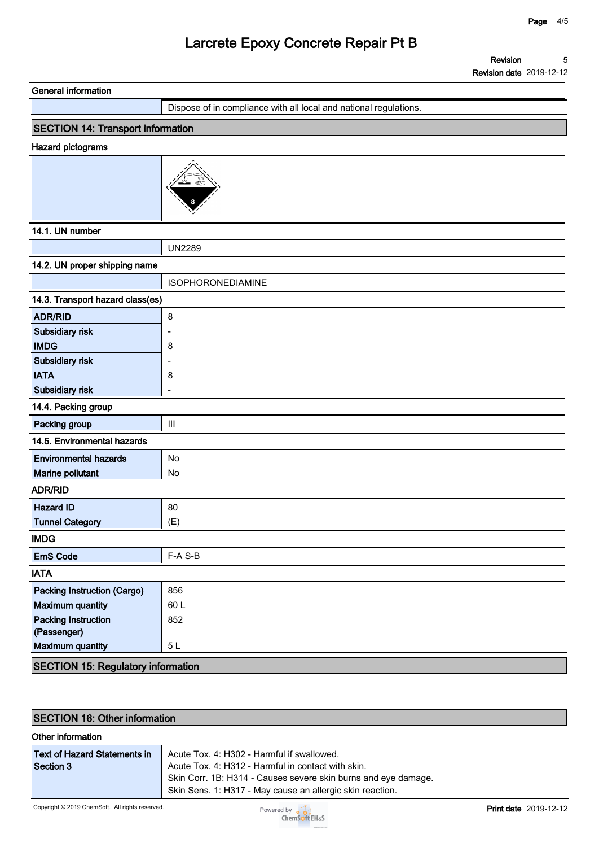**Revision Revision date 2019-12-12 5**

| <b>General information</b>                |                                                                   |
|-------------------------------------------|-------------------------------------------------------------------|
|                                           | Dispose of in compliance with all local and national regulations. |
| <b>SECTION 14: Transport information</b>  |                                                                   |
| Hazard pictograms                         |                                                                   |
|                                           |                                                                   |
| 14.1. UN number                           |                                                                   |
|                                           | <b>UN2289</b>                                                     |
| 14.2. UN proper shipping name             |                                                                   |
|                                           | <b>ISOPHORONEDIAMINE</b>                                          |
| 14.3. Transport hazard class(es)          |                                                                   |
| <b>ADR/RID</b>                            | 8                                                                 |
| Subsidiary risk                           |                                                                   |
| <b>IMDG</b>                               | 8                                                                 |
| Subsidiary risk                           |                                                                   |
| <b>IATA</b>                               | 8                                                                 |
| Subsidiary risk                           | ۳                                                                 |
| 14.4. Packing group                       |                                                                   |
| Packing group                             | $\mathop{\rm III}$                                                |
| 14.5. Environmental hazards               |                                                                   |
| <b>Environmental hazards</b>              | No                                                                |
| Marine pollutant                          | No                                                                |
| <b>ADR/RID</b>                            |                                                                   |
| <b>Hazard ID</b>                          | 80                                                                |
| <b>Tunnel Category</b>                    | (E)                                                               |
| <b>IMDG</b>                               |                                                                   |
| <b>EmS Code</b>                           | F-A S-B                                                           |
| <b>IATA</b>                               |                                                                   |
| <b>Packing Instruction (Cargo)</b>        | 856                                                               |
| <b>Maximum quantity</b>                   | 60L                                                               |
| <b>Packing Instruction</b>                | 852                                                               |
| (Passenger)                               |                                                                   |
| <b>Maximum quantity</b>                   | 5L                                                                |
| <b>SECTION 15: Regulatory information</b> |                                                                   |

| <b>SECTION 16: Other information</b>             |                                                                                                                                                                                                                                 |                              |  |  |
|--------------------------------------------------|---------------------------------------------------------------------------------------------------------------------------------------------------------------------------------------------------------------------------------|------------------------------|--|--|
| Other information                                |                                                                                                                                                                                                                                 |                              |  |  |
| <b>Text of Hazard Statements in</b><br>Section 3 | Acute Tox. 4: H302 - Harmful if swallowed.<br>Acute Tox. 4: H312 - Harmful in contact with skin.<br>Skin Corr. 1B: H314 - Causes severe skin burns and eye damage.<br>Skin Sens. 1: H317 - May cause an allergic skin reaction. |                              |  |  |
| Copyright © 2019 ChemSoft. All rights reserved.  | Powered by $\frac{1}{2}$<br>ChemSoft EH&S                                                                                                                                                                                       | <b>Print date</b> 2019-12-12 |  |  |

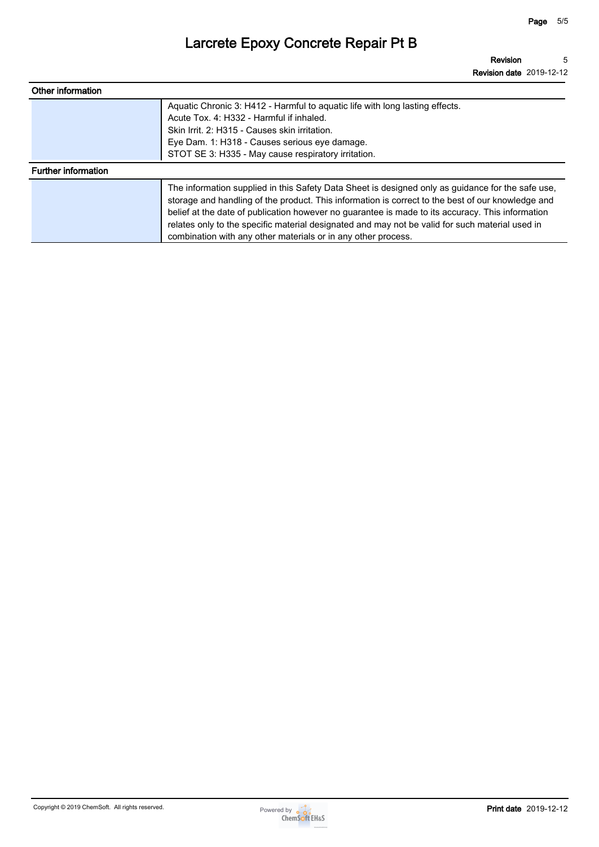| Other information          |                                                                                                                                                                                                                                                                                                                                                                                                                                                                                |
|----------------------------|--------------------------------------------------------------------------------------------------------------------------------------------------------------------------------------------------------------------------------------------------------------------------------------------------------------------------------------------------------------------------------------------------------------------------------------------------------------------------------|
|                            | Aquatic Chronic 3: H412 - Harmful to aquatic life with long lasting effects.<br>Acute Tox, 4: H332 - Harmful if inhaled.<br>Skin Irrit. 2: H315 - Causes skin irritation.<br>Eye Dam. 1: H318 - Causes serious eye damage.<br>STOT SE 3: H335 - May cause respiratory irritation.                                                                                                                                                                                              |
| <b>Further information</b> |                                                                                                                                                                                                                                                                                                                                                                                                                                                                                |
|                            | The information supplied in this Safety Data Sheet is designed only as guidance for the safe use,<br>storage and handling of the product. This information is correct to the best of our knowledge and<br>belief at the date of publication however no guarantee is made to its accuracy. This information<br>relates only to the specific material designated and may not be valid for such material used in<br>combination with any other materials or in any other process. |

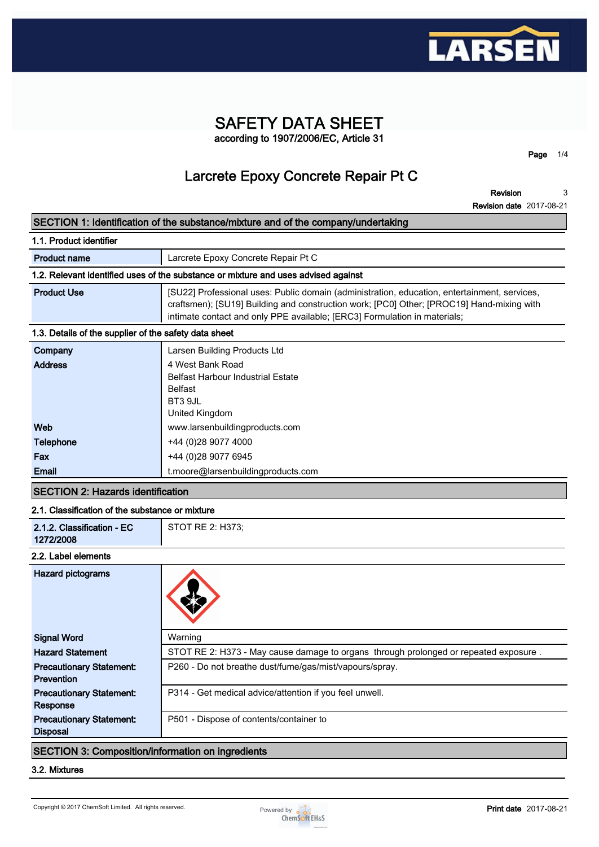

### **SAFETY DATA SHEET according to 1907/2006/EC, Article 31**

**Page 1/4**

## **Larcrete Epoxy Concrete Repair Pt C**

**Revision Revision date 2017-08-21 3**

|                                                       | SECTION 1: Identification of the substance/mixture and of the company/undertaking                                                                                                                                                                                      |  |  |  |
|-------------------------------------------------------|------------------------------------------------------------------------------------------------------------------------------------------------------------------------------------------------------------------------------------------------------------------------|--|--|--|
| 1.1. Product identifier                               |                                                                                                                                                                                                                                                                        |  |  |  |
| <b>Product name</b>                                   | Larcrete Epoxy Concrete Repair Pt C                                                                                                                                                                                                                                    |  |  |  |
|                                                       | 1.2. Relevant identified uses of the substance or mixture and uses advised against                                                                                                                                                                                     |  |  |  |
| <b>Product Use</b>                                    | [SU22] Professional uses: Public domain (administration, education, entertainment, services,<br>craftsmen); [SU19] Building and construction work; [PC0] Other; [PROC19] Hand-mixing with<br>intimate contact and only PPE available; [ERC3] Formulation in materials; |  |  |  |
| 1.3. Details of the supplier of the safety data sheet |                                                                                                                                                                                                                                                                        |  |  |  |
| Company                                               | Larsen Building Products Ltd                                                                                                                                                                                                                                           |  |  |  |
| <b>Address</b>                                        | 4 West Bank Road<br><b>Belfast Harbour Industrial Estate</b><br><b>Belfast</b><br>BT3 9JL<br>United Kingdom                                                                                                                                                            |  |  |  |
| Web                                                   | www.larsenbuildingproducts.com                                                                                                                                                                                                                                         |  |  |  |
| <b>Telephone</b>                                      | +44 (0)28 9077 4000                                                                                                                                                                                                                                                    |  |  |  |
| Fax                                                   | +44 (0)28 9077 6945                                                                                                                                                                                                                                                    |  |  |  |
| Email                                                 | t.moore@larsenbuildingproducts.com                                                                                                                                                                                                                                     |  |  |  |
| <b>SECTION 2: Hazards identification</b>              |                                                                                                                                                                                                                                                                        |  |  |  |
| 2.1. Classification of the substance or mixture       |                                                                                                                                                                                                                                                                        |  |  |  |
| 2.1.2. Classification - EC<br>1272/2008               | STOT RE 2: H373;                                                                                                                                                                                                                                                       |  |  |  |
| 2.2. Label elements                                   |                                                                                                                                                                                                                                                                        |  |  |  |

# **Hazard pictograms Signal Word Warning Hazard Statement STOT RE 2: H373 - May cause damage to organs through prolonged or repeated exposure . Precautionary Statement: Prevention P260 - Do not breathe dust/fume/gas/mist/vapours/spray. Precautionary Statement: Response P314 - Get medical advice/attention if you feel unwell. Precautionary Statement: Disposal P501 - Dispose of contents/container to**

#### **SECTION 3: Composition/information on ingredients**

#### **3.2. Mixtures**

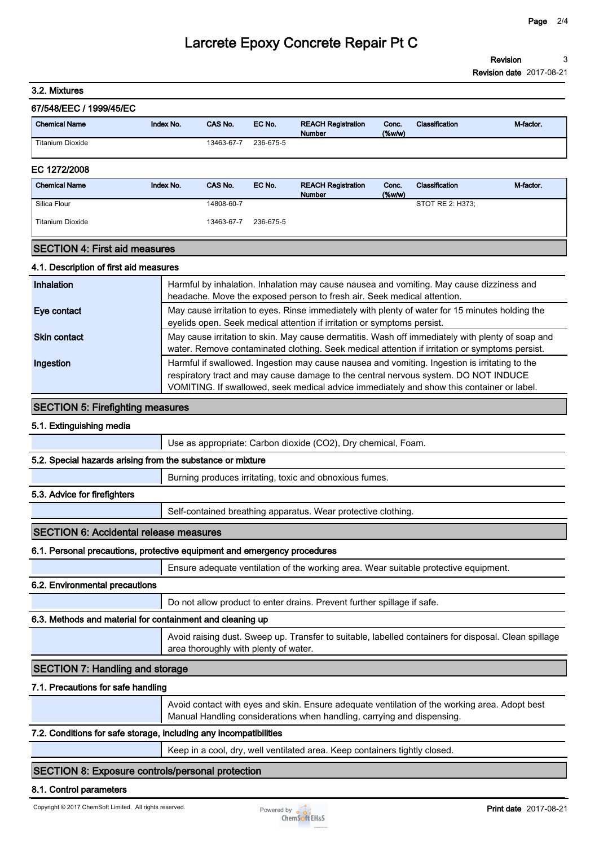**3.2. Mixtures**

#### **67/548/EEC / 1999/45/EC**

| <b>Chemical Name</b> | Index No. | CAS No.    | EC No.    | <b>REACH Registration</b><br>Number | Conc.<br>$(\%w/w)$ | <b>Classification</b> | M-factor. |
|----------------------|-----------|------------|-----------|-------------------------------------|--------------------|-----------------------|-----------|
| Titanium Dioxide     |           | 13463-67-7 | 236-675-5 |                                     |                    |                       |           |

#### **EC 1272/2008**

| <b>Chemical Name</b>    | Index No. | CAS No.    | EC No.    | <b>REACH Registration</b><br><b>Number</b> | Conc.<br>$(\%w/w)$ | Classification   | M-factor. |
|-------------------------|-----------|------------|-----------|--------------------------------------------|--------------------|------------------|-----------|
| Silica Flour            |           | 14808-60-7 |           |                                            |                    | STOT RE 2: H373; |           |
| <b>Titanium Dioxide</b> |           | 13463-67-7 | 236-675-5 |                                            |                    |                  |           |

#### **SECTION 4: First aid measures**

#### **4.1. Description of first aid measures**

| Inhalation          | Harmful by inhalation. Inhalation may cause nausea and vomiting. May cause dizziness and<br>headache. Move the exposed person to fresh air. Seek medical attention.                                                                                                               |
|---------------------|-----------------------------------------------------------------------------------------------------------------------------------------------------------------------------------------------------------------------------------------------------------------------------------|
| Eye contact         | May cause irritation to eyes. Rinse immediately with plenty of water for 15 minutes holding the<br>eyelids open. Seek medical attention if irritation or symptoms persist.                                                                                                        |
| <b>Skin contact</b> | May cause irritation to skin. May cause dermatitis. Wash off immediately with plenty of soap and<br>water. Remove contaminated clothing. Seek medical attention if irritation or symptoms persist.                                                                                |
| Ingestion           | Harmful if swallowed. Ingestion may cause nausea and vomiting. Ingestion is irritating to the<br>respiratory tract and may cause damage to the central nervous system. DO NOT INDUCE<br>VOMITING. If swallowed, seek medical advice immediately and show this container or label. |

#### **SECTION 5: Firefighting measures**

#### **5.1. Extinguishing media**

**Use as appropriate: Carbon dioxide (CO2), Dry chemical, Foam.**

#### **5.2. Special hazards arising from the substance or mixture**

**Burning produces irritating, toxic and obnoxious fumes.**

#### **5.3. Advice for firefighters**

**Self-contained breathing apparatus. Wear protective clothing.**

#### **SECTION 6: Accidental release measures**

#### **6.1. Personal precautions, protective equipment and emergency procedures**

**Ensure adequate ventilation of the working area. Wear suitable protective equipment.**

#### **6.2. Environmental precautions**

**Do not allow product to enter drains. Prevent further spillage if safe.**

#### **6.3. Methods and material for containment and cleaning up**

**Avoid raising dust. Sweep up. Transfer to suitable, labelled containers for disposal. Clean spillage area thoroughly with plenty of water.**

#### **SECTION 7: Handling and storage**

#### **7.1. Precautions for safe handling**

**Avoid contact with eyes and skin. Ensure adequate ventilation of the working area. Adopt best Manual Handling considerations when handling, carrying and dispensing.**

#### **7.2. Conditions for safe storage, including any incompatibilities**

**Keep in a cool, dry, well ventilated area. Keep containers tightly closed.**

#### **SECTION 8: Exposure controls/personal protection**

#### **8.1. Control parameters**

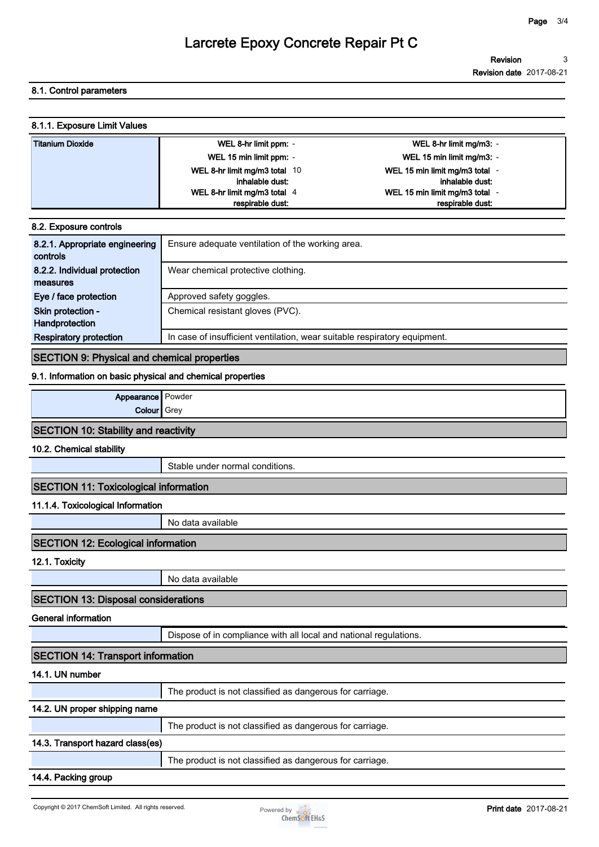#### **8.1. Control parameters**

| 8.1.1. Exposure Limit Values |                               |                                |
|------------------------------|-------------------------------|--------------------------------|
| Titanium Dioxide             | WEL 8-hr limit ppm: -         | WEL 8-hr limit mg/m3: -        |
|                              | WEL 15 min limit ppm: -       | WEL 15 min limit mg/m3: -      |
|                              | WEL 8-hr limit mg/m3 total 10 | WEL 15 min limit mg/m3 total - |
|                              | inhalable dust:               | inhalable dust:                |
|                              | WEL 8-hr limit mg/m3 total 4  | WEL 15 min limit mg/m3 total - |
|                              | respirable dust:              | respirable dust                |
|                              |                               |                                |

| 8.2. Exposure controls         |                                                                           |
|--------------------------------|---------------------------------------------------------------------------|
| 8.2.1. Appropriate engineering | Ensure adequate ventilation of the working area.                          |
| controls                       |                                                                           |
| 8.2.2. Individual protection   | Wear chemical protective clothing.                                        |
| measures                       |                                                                           |
| Eye / face protection          | Approved safety goggles.                                                  |
| Skin protection -              | Chemical resistant gloves (PVC).                                          |
| Handprotection                 |                                                                           |
| <b>Respiratory protection</b>  | In case of insufficient ventilation, wear suitable respiratory equipment. |
|                                |                                                                           |

#### **SECTION 9: Physical and chemical properties**

#### **9.1. Information on basic physical and chemical properties**

| Appearance   Powder                         |  |
|---------------------------------------------|--|
| <b>Colour</b> Grey                          |  |
| <b>SECTION 10: Stability and reactivity</b> |  |

**10.2. Chemical stability**

**Stable under normal conditions.**

#### **SECTION 11: Toxicological information**

#### **11.1.4. Toxicological Information**

**No data available**

#### **SECTION 12: Ecological information**

**12.1. Toxicity**

**No data available**

#### **SECTION 13: Disposal considerations**

**General information**

**Dispose of in compliance with all local and national regulations.**

#### **SECTION 14: Transport information**

#### **14.1. UN number**

**The product is not classified as dangerous for carriage.**

#### **14.2. UN proper shipping name**

**The product is not classified as dangerous for carriage.**

#### **14.3. Transport hazard class(es)**

**The product is not classified as dangerous for carriage.**

#### **14.4. Packing group**